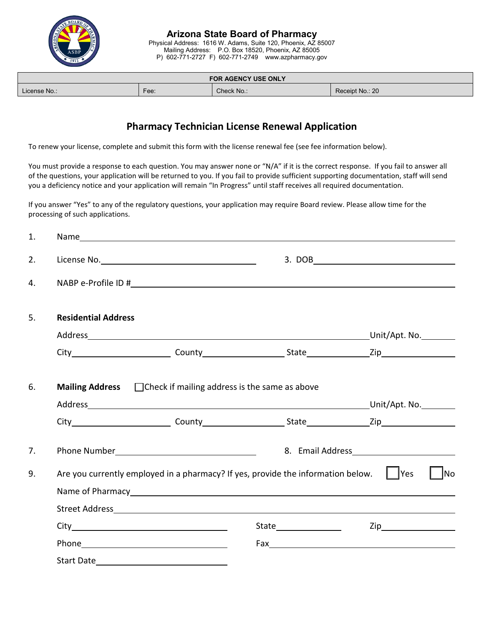

P) 602-771-2727 F) 602-771-2749 www.azpharmacy.gov

| <b>FOR AGENCY USE ONLY</b> |      |            |                 |  |  |  |  |  |
|----------------------------|------|------------|-----------------|--|--|--|--|--|
| License No.:               | Fee: | Check No.: | Receipt No.: 20 |  |  |  |  |  |

# **Pharmacy Technician License Renewal Application**

To renew your license, complete and submit this form with the license renewal fee (see fee information below).

You must provide a response to each question. You may answer none or "N/A" if it is the correct response. If you fail to answer all of the questions, your application will be returned to you. If you fail to provide sufficient supporting documentation, staff will send you a deficiency notice and your application will remain "In Progress" until staff receives all required documentation.

If you answer "Yes" to any of the regulatory questions, your application may require Board review. Please allow time for the processing of such applications.

| 1. |                                                                                                               |                                                                                                                |  |                                                   |  |  |
|----|---------------------------------------------------------------------------------------------------------------|----------------------------------------------------------------------------------------------------------------|--|---------------------------------------------------|--|--|
| 2. |                                                                                                               |                                                                                                                |  | $\begin{array}{c}\n3. \, \text{DOB}\n\end{array}$ |  |  |
| 4. |                                                                                                               |                                                                                                                |  |                                                   |  |  |
| 5. | <b>Residential Address</b>                                                                                    |                                                                                                                |  |                                                   |  |  |
|    |                                                                                                               |                                                                                                                |  | Address Unit/Apt. No.                             |  |  |
|    |                                                                                                               |                                                                                                                |  |                                                   |  |  |
| 6. | <b>Mailing Address</b> $\Box$ Check if mailing address is the same as above                                   |                                                                                                                |  |                                                   |  |  |
|    |                                                                                                               |                                                                                                                |  |                                                   |  |  |
| 7. |                                                                                                               |                                                                                                                |  |                                                   |  |  |
| 9. | Are you currently employed in a pharmacy? If yes, provide the information below. $\ \cdot\ $ Yes<br><b>No</b> |                                                                                                                |  |                                                   |  |  |
|    |                                                                                                               |                                                                                                                |  |                                                   |  |  |
|    |                                                                                                               |                                                                                                                |  | $\mathsf{Zip}\_$                                  |  |  |
|    |                                                                                                               | Phone 2008 2010 2021 2022 2023 2024 2022 2022 2023 2024 2022 2023 2024 2022 2023 2024 2022 2023 2024 2025 2026 |  |                                                   |  |  |
|    |                                                                                                               |                                                                                                                |  |                                                   |  |  |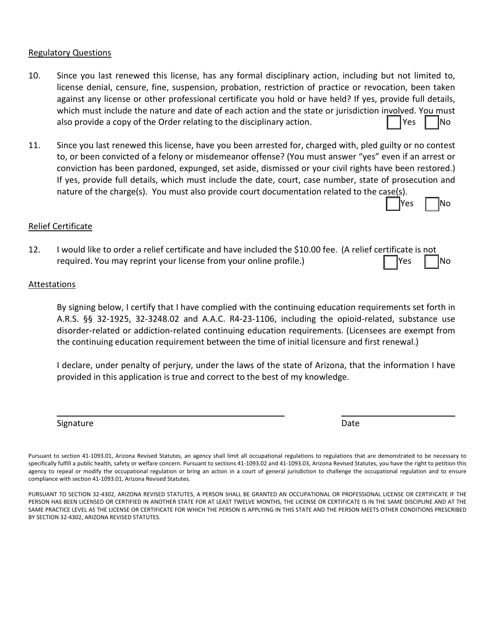#### Regulatory Questions

- 10. Since you last renewed this license, has any formal disciplinary action, including but not limited to, license denial, censure, fine, suspension, probation, restriction of practice or revocation, been taken against any license or other professional certificate you hold or have held? If yes, provide full details, which must include the nature and date of each action and the state or jurisdiction involved. You must also provide a copy of the Order relating to the disciplinary action.  $\blacksquare$   $\blacksquare$  Yes  $\blacksquare$  No
- 11. Since you last renewed this license, have you been arrested for, charged with, pled guilty or no contest to, or been convicted of a felony or misdemeanor offense? (You must answer "yes" even if an arrest or conviction has been pardoned, expunged, set aside, dismissed or your civil rights have been restored.) If yes, provide full details, which must include the date, court, case number, state of prosecution and nature of the charge(s). You must also provide court documentation related to the case(s).

### Relief Certificate

12. I would like to order a relief certificate and have included the \$10.00 fee. (A relief certificate is not required. You may reprint your license from your online profile.)  $\Box$  Yes  $\Box$  No

#### Attestations

By signing below, I certify that I have complied with the continuing education requirements set forth in A.R.S. §§ 32-1925, 32-3248.02 and A.A.C. R4-23-1106, including the opioid-related, substance use disorder‑related or addiction‑related continuing education requirements. (Licensees are exempt from the continuing education requirement between the time of initial licensure and first renewal.)

I declare, under penalty of perjury, under the laws of the state of Arizona, that the information I have provided in this application is true and correct to the best of my knowledge.

Signature Date Date of the Contract of the Contract of the Contract of the Date Date

Yes | |No

Pursuant to section 41-1093.01, Arizona Revised Statutes, an agency shall limit all occupational regulations to regulations that are demonstrated to be necessary to specifically fulfill a public health, safety or welfare concern. Pursuant to sections 41-1093.02 and 41-1093.03, Arizona Revised Statutes, you have the right to petition this agency to repeal or modify the occupational regulation or bring an action in a court of general jurisdiction to challenge the occupational regulation and to ensure compliance with section 41-1093.01, Arizona Revised Statutes.

PURSUANT TO SECTION 32-4302, ARIZONA REVISED STATUTES, A PERSON SHALL BE GRANTED AN OCCUPATIONAL OR PROFESSIONAL LICENSE OR CERTIFICATE IF THE PERSON HAS BEEN LICENSED OR CERTIFIED IN ANOTHER STATE FOR AT LEAST TWELVE MONTHS, THE LICENSE OR CERTIFICATE IS IN THE SAME DISCIPLINE AND AT THE SAME PRACTICE LEVEL AS THE LICENSE OR CERTIFICATE FOR WHICH THE PERSON IS APPLYING IN THIS STATE AND THE PERSON MEETS OTHER CONDITIONS PRESCRIBED BY SECTION 32-4302, ARIZONA REVISED STATUTES.